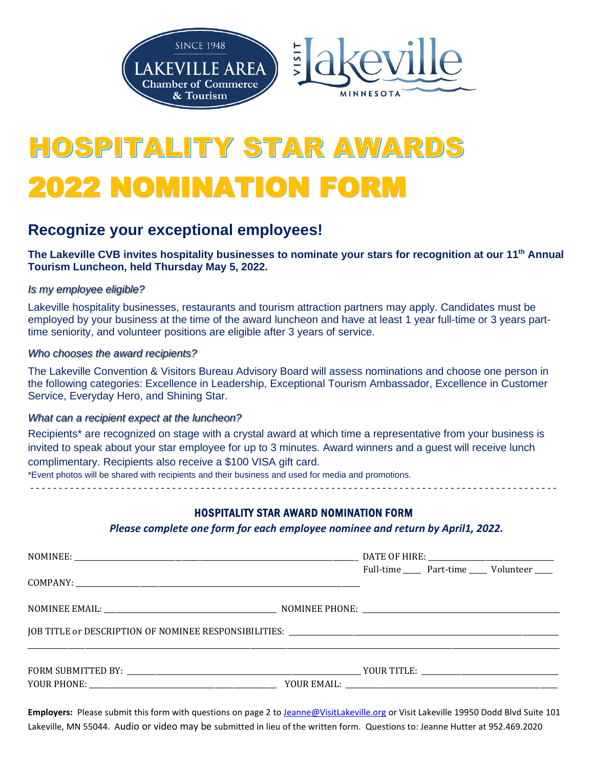

# HOSPITALITY STAR AWAR 2022 NOMINATION FORM

## **Recognize your exceptional employees!**

**The Lakeville CVB invites hospitality businesses to nominate your stars for recognition at our 11th Annual Tourism Luncheon, held Thursday May 5, 2022.** 

#### *Is my employee eligible?*

Lakeville hospitality businesses, restaurants and tourism attraction partners may apply. Candidates must be employed by your business at the time of the award luncheon and have at least 1 year full-time or 3 years parttime seniority, and volunteer positions are eligible after 3 years of service.

#### *Who chooses the award recipients?*

The Lakeville Convention & Visitors Bureau Advisory Board will assess nominations and choose one person in the following categories: Excellence in Leadership, Exceptional Tourism Ambassador, Excellence in Customer Service, Everyday Hero, and Shining Star.

#### *What can a recipient expect at the luncheon?*

Recipients\* are recognized on stage with a crystal award at which time a representative from your business is invited to speak about your star employee for up to 3 minutes. Award winners and a guest will receive lunch complimentary. Recipients also receive a \$100 VISA gift card. \*Event photos will be shared with recipients and their business and used for media and promotions.

- - - - - - - - - - - - - - - - - - - - - - - - - - - - - - - - - - - - - - - - - - - - - - - - - - - - - - - - - - - - - - - - - - - - - - - - - - - - - - - - - - - - - - - - - - - - -

### HOSPITALITY STAR AWARD NOMINATION FORM

#### *Please complete one form for each employee nominee and return by April1, 2022.*

|                                                                                                                       |  |  |  | Full-time _______ Part-time ______ Volunteer _____ |
|-----------------------------------------------------------------------------------------------------------------------|--|--|--|----------------------------------------------------|
|                                                                                                                       |  |  |  |                                                    |
|                                                                                                                       |  |  |  |                                                    |
| <u> 1989 - Johann John Stone, markin sammen beskriuwer oan de ferskeinde fan de ferskeinde fan de ferskeinde fan </u> |  |  |  |                                                    |

**Employers:** Please submit this form with questions on page 2 to [Jeanne@VisitLakeville.org](mailto:Jeanne@VisitLakeville.org) or Visit Lakeville 19950 Dodd Blvd Suite 101 Lakeville, MN 55044. Audio or video may be submitted in lieu of the written form. Questions to: Jeanne Hutter at 952.469.2020